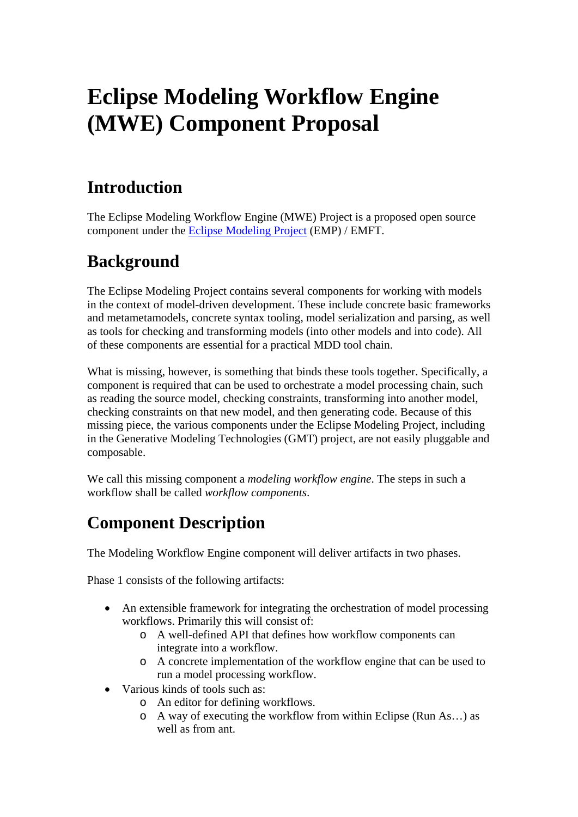# **Eclipse Modeling Workflow Engine (MWE) Component Proposal**

# **Introduction**

The Eclipse Modeling Workflow Engine (MWE) Project is a proposed open source component under the [Eclipse Modeling Project](http://www.eclipse.org/modeling/) (EMP) / EMFT.

### **Background**

The Eclipse Modeling Project contains several components for working with models in the context of model-driven development. These include concrete basic frameworks and metametamodels, concrete syntax tooling, model serialization and parsing, as well as tools for checking and transforming models (into other models and into code). All of these components are essential for a practical MDD tool chain.

What is missing, however, is something that binds these tools together. Specifically, a component is required that can be used to orchestrate a model processing chain, such as reading the source model, checking constraints, transforming into another model, checking constraints on that new model, and then generating code. Because of this missing piece, the various components under the Eclipse Modeling Project, including in the Generative Modeling Technologies (GMT) project, are not easily pluggable and composable.

We call this missing component a *modeling workflow engine*. The steps in such a workflow shall be called *workflow components*.

# **Component Description**

The Modeling Workflow Engine component will deliver artifacts in two phases.

Phase 1 consists of the following artifacts:

- An extensible framework for integrating the orchestration of model processing workflows. Primarily this will consist of:
	- o A well-defined API that defines how workflow components can integrate into a workflow.
	- o A concrete implementation of the workflow engine that can be used to run a model processing workflow.
- Various kinds of tools such as:
	- o An editor for defining workflows.
	- o A way of executing the workflow from within Eclipse (Run As…) as well as from ant.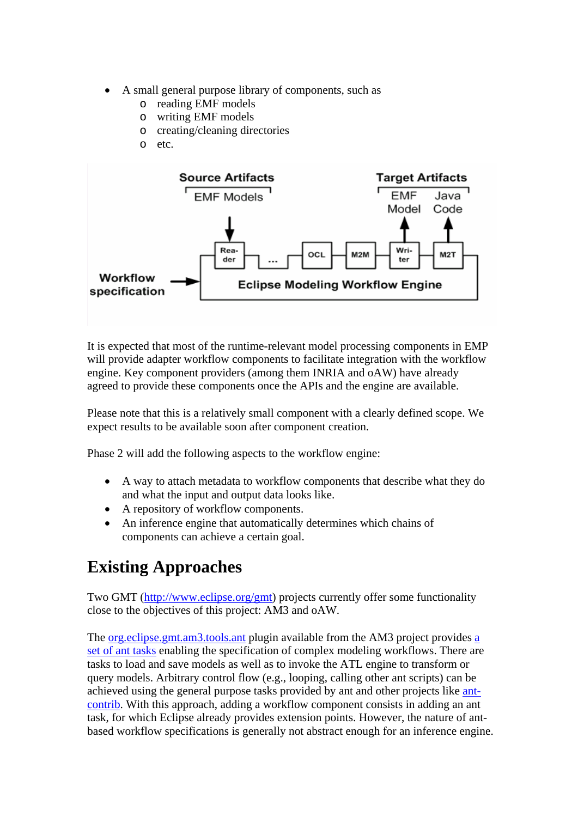- A small general purpose library of components, such as
	- o reading EMF models
	- o writing EMF models
	- o creating/cleaning directories
	- o etc.



It is expected that most of the runtime-relevant model processing components in EMP will provide adapter workflow components to facilitate integration with the workflow engine. Key component providers (among them INRIA and oAW) have already agreed to provide these components once the APIs and the engine are available.

Please note that this is a relatively small component with a clearly defined scope. We expect results to be available soon after component creation.

Phase 2 will add the following aspects to the workflow engine:

- A way to attach metadata to workflow components that describe what they do and what the input and output data looks like.
- A repository of workflow components.
- An inference engine that automatically determines which chains of components can achieve a certain goal.

### **Existing Approaches**

Two GMT (<http://www.eclipse.org/gmt>) projects currently offer some functionality close to the objectives of this project: AM3 and oAW.

The [org.eclipse.gmt.am3.tools.ant](http://dev.eclipse.org/viewcvs/indextech.cgi/org.eclipse.gmt/AM3/org.eclipse.gmt.am3.tools.ant/) plugin available from the AM3 project provides [a](http://wiki.eclipse.org/index.php/AM3_Ant_Tasks)  [set of ant tasks](http://wiki.eclipse.org/index.php/AM3_Ant_Tasks) enabling the specification of complex modeling workflows. There are tasks to load and save models as well as to invoke the ATL engine to transform or query models. Arbitrary control flow (e.g., looping, calling other ant scripts) can be achieved using the general purpose tasks provided by ant and other projects like [ant](http://ant-contrib.sourceforge.net/)[contrib.](http://ant-contrib.sourceforge.net/) With this approach, adding a workflow component consists in adding an ant task, for which Eclipse already provides extension points. However, the nature of antbased workflow specifications is generally not abstract enough for an inference engine.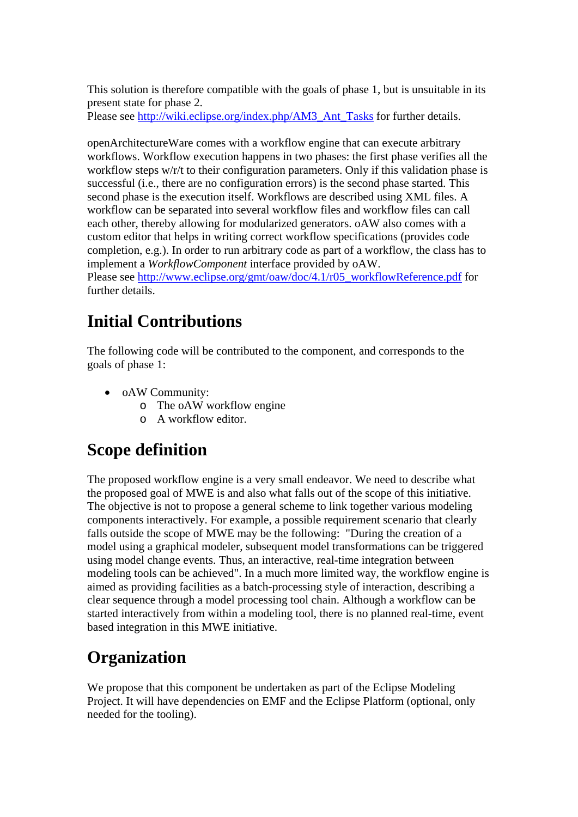This solution is therefore compatible with the goals of phase 1, but is unsuitable in its present state for phase 2.

Please see [http://wiki.eclipse.org/index.php/AM3\\_Ant\\_Tasks](http://wiki.eclipse.org/index.php/AM3_Ant_Tasks) for further details.

openArchitectureWare comes with a workflow engine that can execute arbitrary workflows. Workflow execution happens in two phases: the first phase verifies all the workflow steps w/r/t to their configuration parameters. Only if this validation phase is successful (i.e., there are no configuration errors) is the second phase started. This second phase is the execution itself. Workflows are described using XML files. A workflow can be separated into several workflow files and workflow files can call each other, thereby allowing for modularized generators. oAW also comes with a custom editor that helps in writing correct workflow specifications (provides code completion, e.g.). In order to run arbitrary code as part of a workflow, the class has to implement a *WorkflowComponent* interface provided by oAW.

Please see [http://www.eclipse.org/gmt/oaw/doc/4.1/r05\\_workflowReference.pdf](http://www.eclipse.org/gmt/oaw/doc/4.1/r05_workflowReference.pdf) for further details.

# **Initial Contributions**

The following code will be contributed to the component, and corresponds to the goals of phase 1:

- oAW Community:
	- o The oAW workflow engine
	- o A workflow editor.

# **Scope definition**

The proposed workflow engine is a very small endeavor. We need to describe what the proposed goal of MWE is and also what falls out of the scope of this initiative. The objective is not to propose a general scheme to link together various modeling components interactively. For example, a possible requirement scenario that clearly falls outside the scope of MWE may be the following: "During the creation of a model using a graphical modeler, subsequent model transformations can be triggered using model change events. Thus, an interactive, real-time integration between modeling tools can be achieved". In a much more limited way, the workflow engine is aimed as providing facilities as a batch-processing style of interaction, describing a clear sequence through a model processing tool chain. Although a workflow can be started interactively from within a modeling tool, there is no planned real-time, event based integration in this MWE initiative.

# **Organization**

We propose that this component be undertaken as part of the Eclipse Modeling Project. It will have dependencies on EMF and the Eclipse Platform (optional, only needed for the tooling).